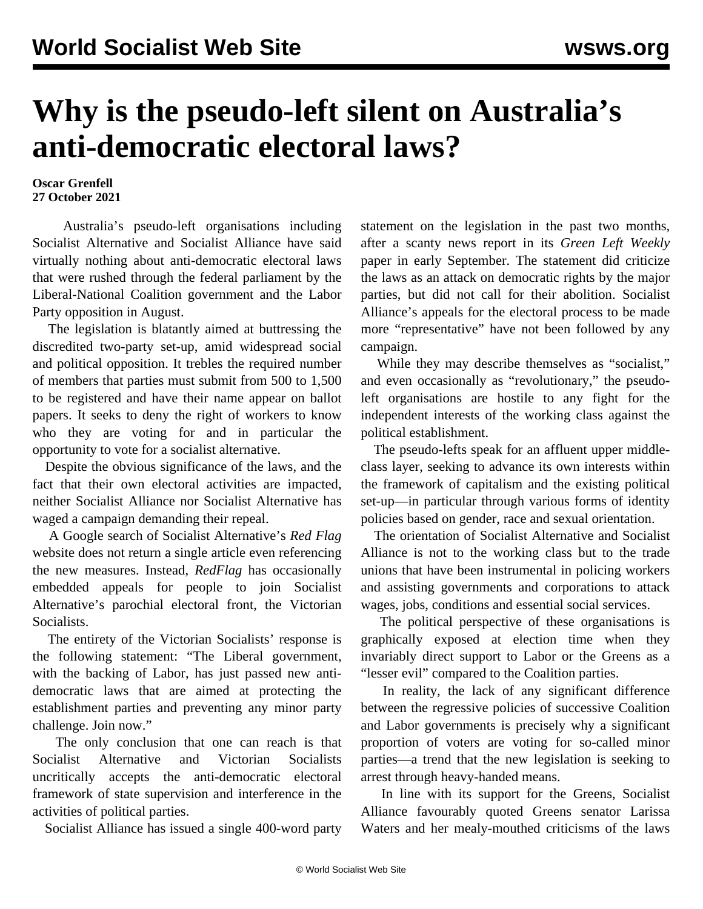## **Why is the pseudo-left silent on Australia's anti-democratic electoral laws?**

## **Oscar Grenfell 27 October 2021**

 Australia's pseudo-left organisations including Socialist Alternative and Socialist Alliance have said virtually nothing about anti-democratic electoral laws that were rushed through the federal parliament by the Liberal-National Coalition government and the Labor Party opposition in August.

 The legislation is blatantly aimed at buttressing the discredited two-party set-up, amid widespread social and political opposition. It trebles the required number of members that parties must submit from 500 to 1,500 to be registered and have their name appear on ballot papers. It seeks to deny the right of workers to know who they are voting for and in particular the opportunity to vote for a socialist alternative.

 Despite the obvious significance of the laws, and the fact that their own electoral activities are impacted, neither Socialist Alliance nor Socialist Alternative has waged a campaign demanding their repeal.

 A Google search of Socialist Alternative's *Red Flag* website does not return a single article even referencing the new measures. Instead, *RedFlag* has occasionally embedded appeals for people to join Socialist Alternative's parochial electoral front, the Victorian Socialists.

 The entirety of the Victorian Socialists' response is the following statement: "The Liberal government, with the backing of Labor, has just passed new antidemocratic laws that are aimed at protecting the establishment parties and preventing any minor party challenge. Join now."

 The only conclusion that one can reach is that Socialist Alternative and Victorian Socialists uncritically accepts the anti-democratic electoral framework of state supervision and interference in the activities of political parties.

Socialist Alliance has issued a single 400-word party

statement on the legislation in the past two months, after a scanty news report in its *Green Left Weekly* paper in early September. The statement did criticize the laws as an attack on democratic rights by the major parties, but did not call for their abolition. Socialist Alliance's appeals for the electoral process to be made more "representative" have not been followed by any campaign.

 While they may describe themselves as "socialist," and even occasionally as "revolutionary," the pseudoleft organisations are hostile to any fight for the independent interests of the working class against the political establishment.

 The pseudo-lefts speak for an affluent upper middleclass layer, seeking to advance its own interests within the framework of capitalism and the existing political set-up—in particular through various forms of identity policies based on gender, race and sexual orientation.

 The orientation of Socialist Alternative and Socialist Alliance is not to the working class but to the trade unions that have been instrumental in policing workers and assisting governments and corporations to attack wages, jobs, conditions and essential social services.

 The political perspective of these organisations is graphically exposed at election time when they invariably direct support to Labor or the Greens as a "lesser evil" compared to the Coalition parties.

 In reality, the lack of any significant difference between the regressive policies of successive Coalition and Labor governments is precisely why a significant proportion of voters are voting for so-called minor parties—a trend that the new legislation is seeking to arrest through heavy-handed means.

 In line with its support for the Greens, Socialist Alliance favourably quoted Greens senator Larissa Waters and her mealy-mouthed criticisms of the laws